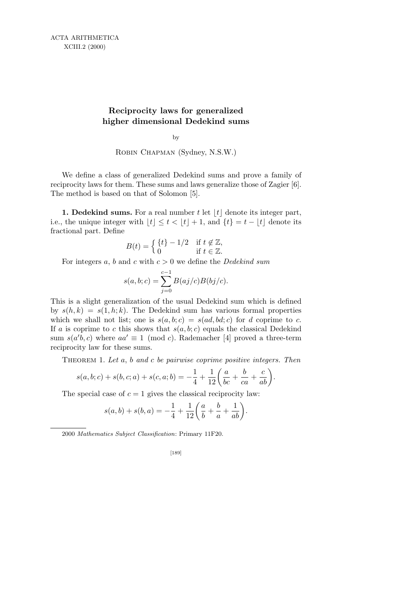## **Reciprocity laws for generalized higher dimensional Dedekind sums**

by

Robin Chapman (Sydney, N.S.W.)

We define a class of generalized Dedekind sums and prove a family of reciprocity laws for them. These sums and laws generalize those of Zagier [6]. The method is based on that of Solomon [5].

**1. Dedekind sums.** For a real number  $t$  let  $|t|$  denote its integer part, i.e., the unique integer with  $|t| \le t < |t| + 1$ , and  $\{t\} = t - |t|$  denote its fractional part. Define

$$
B(t) = \begin{cases} \{t\} - 1/2 & \text{if } t \notin \mathbb{Z}, \\ 0 & \text{if } t \in \mathbb{Z}. \end{cases}
$$

For integers *a*, *b* and *c* with *c >* 0 we define the *Dedekind sum*

$$
s(a, b; c) = \sum_{j=0}^{c-1} B(aj/c)B(bj/c).
$$

This is a slight generalization of the usual Dedekind sum which is defined by  $s(h, k) = s(1, h; k)$ . The Dedekind sum has various formal properties which we shall not list; one is  $s(a, b; c) = s(ad, bd; c)$  for *d* coprime to *c*. If *a* is coprime to *c* this shows that  $s(a, b, c)$  equals the classical Dedekind sum  $s(a'b, c)$  where  $aa' \equiv 1 \pmod{c}$ . Rademacher [4] proved a three-term reciprocity law for these sums.

Theorem 1. *Let a*, *b and c be pairwise coprime positive integers. Then*

$$
s(a, b; c) + s(b, c; a) + s(c, a; b) = -\frac{1}{4} + \frac{1}{12} \left( \frac{a}{bc} + \frac{b}{ca} + \frac{c}{ab} \right).
$$

The special case of  $c = 1$  gives the classical reciprocity law:

$$
s(a,b) + s(b,a) = -\frac{1}{4} + \frac{1}{12} \left( \frac{a}{b} + \frac{b}{a} + \frac{1}{ab} \right).
$$

2000 *Mathematics Subject Classification*: Primary 11F20.

$$
[189]
$$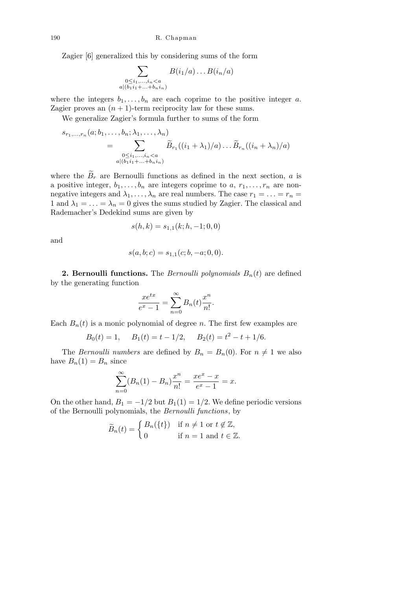Zagier [6] generalized this by considering sums of the form

$$
\sum_{\substack{0 \leq i_1, \dots, i_n < a \\ a | (b_1 i_1 + \dots + b_n i_n) }} B(i_1/a) \dots B(i_n/a)
$$

where the integers  $b_1, \ldots, b_n$  are each coprime to the positive integer *a*. Zagier proves an  $(n + 1)$ -term reciprocity law for these sums.

We generalize Zagier's formula further to sums of the form

$$
s_{r_1,\ldots,r_n}(a;b_1,\ldots,b_n;\lambda_1,\ldots,\lambda_n)
$$
  
= 
$$
\sum_{\substack{0\leq i_1,\ldots,i_n $\widetilde{B}_{r_1}((i_1+\lambda_1)/a)\ldots\widetilde{B}_{r_n}((i_n+\lambda_n)/a)$
$$

where the  $B_r$  are Bernoulli functions as defined in the next section, *a* is a positive integer,  $b_1, \ldots, b_n$  are integers coprime to  $a, r_1, \ldots, r_n$  are nonnegative integers and  $\lambda_1, \ldots, \lambda_n$  are real numbers. The case  $r_1 = \ldots = r_n =$ 1 and  $\lambda_1 = \ldots = \lambda_n = 0$  gives the sums studied by Zagier. The classical and Rademacher's Dedekind sums are given by

$$
s(h,k) = s_{1,1}(k;h,-1;0,0)
$$

and

$$
s(a, b; c) = s_{1,1}(c; b, -a; 0, 0).
$$

**2. Bernoulli functions.** The *Bernoulli polynomials*  $B_n(t)$  are defined by the generating function

$$
\frac{xe^{tx}}{e^x - 1} = \sum_{n=0}^{\infty} B_n(t) \frac{x^n}{n!}.
$$

Each  $B_n(t)$  is a monic polynomial of degree *n*. The first few examples are

$$
B_0(t) = 1
$$
,  $B_1(t) = t - 1/2$ ,  $B_2(t) = t^2 - t + 1/6$ .

The *Bernoulli numbers* are defined by  $B_n = B_n(0)$ . For  $n \neq 1$  we also have  $B_n(1) = B_n$  since

$$
\sum_{n=0}^{\infty} (B_n(1) - B_n) \frac{x^n}{n!} = \frac{xe^x - x}{e^x - 1} = x.
$$

On the other hand,  $B_1 = -1/2$  but  $B_1(1) = 1/2$ . We define periodic versions of the Bernoulli polynomials, the *Bernoulli functions*, by

$$
\widetilde{B}_n(t) = \begin{cases} B_n(\{t\}) & \text{if } n \neq 1 \text{ or } t \notin \mathbb{Z}, \\ 0 & \text{if } n = 1 \text{ and } t \in \mathbb{Z}. \end{cases}
$$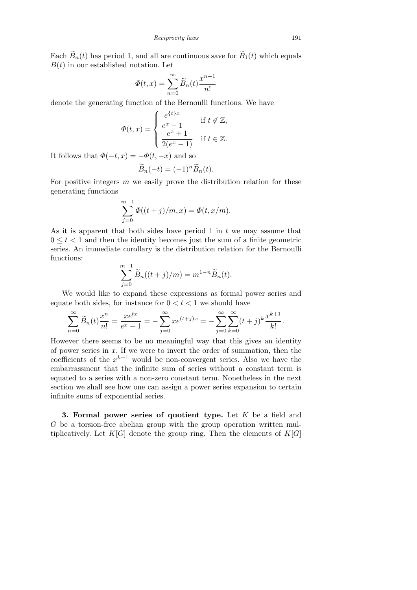Each  $\widetilde{B}_n(t)$  has period 1, and all are continuous save for  $\widetilde{B}_1(t)$  which equals  $B(t)$  in our established notation. Let

$$
\Phi(t,x) = \sum_{n=0}^{\infty} \widetilde{B}_n(t) \frac{x^{n-1}}{n!}
$$

denote the generating function of the Bernoulli functions. We have Ţ

$$
\Phi(t,x) = \begin{cases} \frac{e^{\{t\}x}}{e^x - 1} & \text{if } t \notin \mathbb{Z}, \\ \frac{e^x + 1}{2(e^x - 1)} & \text{if } t \in \mathbb{Z}. \end{cases}
$$

It follows that  $\Phi(-t, x) = -\Phi(t, -x)$  and so

$$
\widetilde{B}_n(-t) = (-1)^n \widetilde{B}_n(t).
$$

For positive integers *m* we easily prove the distribution relation for these generating functions

$$
\sum_{j=0}^{m-1} \Phi((t+j)/m, x) = \Phi(t, x/m).
$$

As it is apparent that both sides have period 1 in *t* we may assume that  $0 \leq t < 1$  and then the identity becomes just the sum of a finite geometric series. An immediate corollary is the distribution relation for the Bernoulli functions:

$$
\sum_{j=0}^{m-1} \widetilde{B}_n((t+j)/m) = m^{1-n} \widetilde{B}_n(t).
$$

We would like to expand these expressions as formal power series and equate both sides, for instance for  $0 < t < 1$  we should have

$$
\sum_{n=0}^{\infty} \widetilde{B}_n(t) \frac{x^n}{n!} = \frac{xe^{tx}}{e^x - 1} = -\sum_{j=0}^{\infty} xe^{(t+j)x} = -\sum_{j=0}^{\infty} \sum_{k=0}^{\infty} (t+j)^k \frac{x^{k+1}}{k!}.
$$

However there seems to be no meaningful way that this gives an identity of power series in *x*. If we were to invert the order of summation, then the coefficients of the  $x^{k+1}$  would be non-convergent series. Also we have the embarrassment that the infinite sum of series without a constant term is equated to a series with a non-zero constant term. Nonetheless in the next section we shall see how one can assign a power series expansion to certain infinite sums of exponential series.

**3. Formal power series of quotient type.** Let *K* be a field and *G* be a torsion-free abelian group with the group operation written multiplicatively. Let  $K[G]$  denote the group ring. Then the elements of  $K[G]$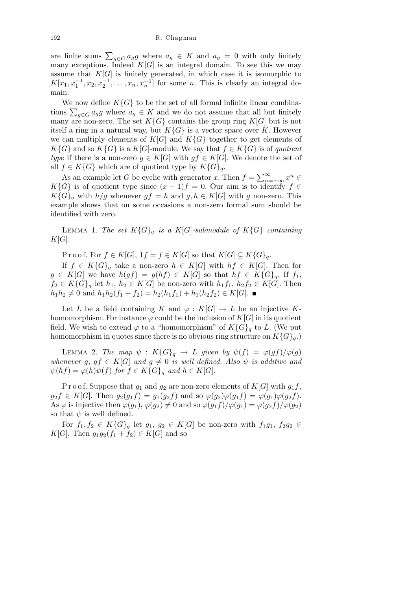are finite sums  $\sum_{g \in G} a_g g$  where  $a_g \in K$  and  $a_g = 0$  with only finitely many exceptions. Indeed  $K[G]$  is an integral domain. To see this we may assume that  $K[G]$  is finitely generated, in which case it is isomorphic to  $K[x_1, x_1^{-1}, x_2, x_2^{-1}, \ldots, x_n, x_n^{-1}]$  for some *n*. This is clearly an integral domain.

We now define  $K\{G\}$  to be the set of all formal infinite linear combinations  $\sum_{g \in G} a_g g$  where  $a_g \in K$  and we do not assume that all but finitely many are non-zero. The set  $K\{G\}$  contains the group ring  $K[G]$  but is not itself a ring in a natural way, but  $K\{G\}$  is a vector space over *K*. However we can multiply elements of  $K[G]$  and  $K\{G\}$  together to get elements of  $K\{G\}$  and so  $K\{G\}$  is a  $K[G]$ -module. We say that  $f \in K\{G\}$  is of *quotient type* if there is a non-zero  $g \in K[G]$  with  $gf \in K[G]$ . We denote the set of all *f* ∈ *K*{*G*} which are of quotient type by  $K\{G\}_q$ .

As an example let *G* be cyclic with generator *x*. Then  $f = \sum_{n=1}^{\infty}$ *<sup>n</sup>*=*−∞ x <sup>n</sup> ∈*  $K\{G\}$  is of quotient type since  $(x-1)f = 0$ . Our aim is to identify  $f \in$  $K\{G\}_q$  with  $h/q$  whenever  $gf = h$  and  $g, h \in K[G]$  with *g* non-zero. This example shows that on some occasions a non-zero formal sum should be identified with zero.

LEMMA 1. *The set*  $K\{G\}_q$  *is a*  $K[G]$ *-submodule of*  $K\{G\}$  *containing K*[*G*]*.*

 $\text{Proof.}$  For  $f \in K[G], 1f = f \in K[G]$  so that  $K[G] \subseteq K\{G\}_g$ .

If *f* ∈ *K*{ $G$ }<sub>*q*</sub> take a non-zero *h* ∈ *K*[ $G$ ] with *hf* ∈ *K*[ $G$ ]. Then for  $g \in K[G]$  we have  $h(gf) = g(hf) \in K[G]$  so that  $hf \in K[G]_q$ . If  $f_1$ ,  $f_2 \in K\{G\}_q$  let  $h_1, h_2 \in K[G]$  be non-zero with  $h_1 f_1, h_2 f_2 \in K[G]$ . Then  $h_1h_2 \neq 0$  and  $h_1h_2(f_1 + f_2) = h_2(h_1f_1) + h_1(h_2f_2) \in K[G]$ . ■

Let *L* be a field containing *K* and  $\varphi : K[G] \to L$  be an injective *K*homomorphism. For instance  $\varphi$  could be the inclusion of  $K[G]$  in its quotient field. We wish to extend  $\varphi$  to a "homomorphism" of  $K\{G\}_q$  to *L*. (We put homomorphism in quotes since there is no obvious ring structure on  $K{G}_q$ .

LEMMA 2. *The map*  $\psi$  :  $K\{G\}_q \to L$  *given by*  $\psi(f) = \varphi(gf)/\varphi(g)$ *whenever g*,  $gf \in K[G]$  *and*  $g \neq 0$  *is well defined. Also*  $\psi$  *is additive and*  $\psi(hf) = \varphi(h)\psi(f)$  *for*  $f \in K\{G\}_q$  *and*  $h \in K[G]$ *.* 

P r o o f. Suppose that  $g_1$  and  $g_2$  are non-zero elements of  $K[G]$  with  $g_1 f$ ,  $g_2 f \in K[G]$ . Then  $g_2(g_1 f) = g_1(g_2 f)$  and so  $\varphi(g_2) \varphi(g_1 f) = \varphi(g_1) \varphi(g_2 f)$ . As  $\varphi$  is injective then  $\varphi(g_1), \varphi(g_2) \neq 0$  and so  $\varphi(g_1 f)/\varphi(g_1) = \varphi(g_2 f)/\varphi(g_2)$ so that  $\psi$  is well defined.

For  $f_1, f_2 \in K\{G\}_q$  let  $g_1, g_2 \in K[G]$  be non-zero with  $f_1g_1, f_2g_2 \in$ *K*[*G*]. Then  $g_1 g_2(f_1 + f_2) \in K[G]$  and so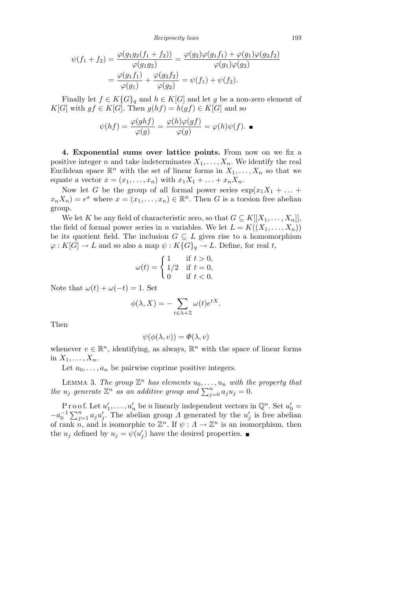*Reciprocity laws* 193

$$
\psi(f_1 + f_2) = \frac{\varphi(g_1 g_2 (f_1 + f_2))}{\varphi(g_1 g_2)} = \frac{\varphi(g_2) \varphi(g_1 f_1) + \varphi(g_1) \varphi(g_2 f_2)}{\varphi(g_1) \varphi(g_2)} \n= \frac{\varphi(g_1 f_1)}{\varphi(g_1)} + \frac{\varphi(g_2 f_2)}{\varphi(g_2)} = \psi(f_1) + \psi(f_2).
$$

Finally let  $f \in K\{G\}_q$  and  $h \in K[G]$  and let g be a non-zero element of  $K[G]$  with  $gf \in K[G]$ . Then  $g(hf) = h(gf) \in K[G]$  and so

$$
\psi(hf) = \frac{\varphi(ghf)}{\varphi(g)} = \frac{\varphi(h)\varphi(gf)}{\varphi(g)} = \varphi(h)\psi(f). \blacksquare
$$

**4. Exponential sums over lattice points.** From now on we fix a positive integer *n* and take indeterminates  $X_1, \ldots, X_n$ . We identify the real Euclidean space  $\mathbb{R}^n$  with the set of linear forms in  $X_1, \ldots, X_n$  so that we equate a vector  $x = (x_1, \ldots, x_n)$  with  $x_1X_1 + \ldots + x_nX_n$ .

Now let *G* be the group of all formal power series  $\exp(x_1X_1 + \dots +$  $x_n X_n$ ) =  $e^x$  where  $x = (x_1, \ldots, x_n) \in \mathbb{R}^n$ . Then *G* is a torsion free abelian group.

We let *K* be any field of characteristic zero, so that  $G \subseteq K[[X_1, \ldots, X_n]],$ the field of formal power series in *n* variables. We let  $L = K((X_1, \ldots, X_n))$ be its quotient field. The inclusion  $G \subseteq L$  gives rise to a homomorphism  $\varphi: K[G] \to L$  and so also a map  $\psi: K[G]_q \to L$ . Define, for real *t*,

$$
\omega(t) = \begin{cases} 1 & \text{if } t > 0, \\ 1/2 & \text{if } t = 0, \\ 0 & \text{if } t < 0. \end{cases}
$$

Note that  $\omega(t) + \omega(-t) = 1$ . Set

$$
\phi(\lambda, X) = -\sum_{t \in \lambda + \mathbb{Z}} \omega(t) e^{tX}.
$$

Then

$$
\psi(\phi(\lambda, v)) = \Phi(\lambda, v)
$$

whenever  $v \in \mathbb{R}^n$ , identifying, as always,  $\mathbb{R}^n$  with the space of linear forms in  $X_1, \ldots, X_n$ .

Let  $a_0, \ldots, a_n$  be pairwise coprime positive integers.

LEMMA 3. The group  $\mathbb{Z}^n$  has elements  $u_0, \ldots, u_n$  with the property that *the*  $u_j$  generate  $\mathbb{Z}^n$  *as an additive group and*  $\sum_{j=0}^n a_j u_j = 0$ *.* 

P r o o f. Let  $u'_1, \ldots, u'_n$  be *n* linearly independent vectors in  $\mathbb{Q}^n$ . Set  $u'_0 =$ <br> $u'_1 \sum_{i=1}^n u'_i$ . The shallen group A generated by the  $u'_i$  is free shallen  $-a_0^{-1} \sum_{j=1}^n a_j u'_j$ . The abelian group *Λ* generated by the  $u'_j$  is free abelian of rank *n*, and is isomorphic to  $\mathbb{Z}^n$ . If  $\psi: A \to \mathbb{Z}^n$  is an isomorphism, then the  $u_j$  defined by  $u_j = \psi(u'_j)$  have the desired properties.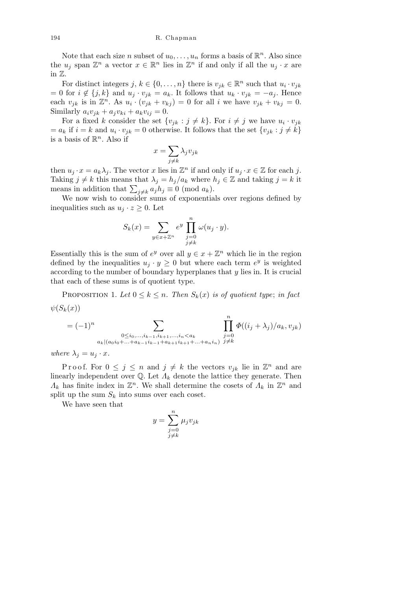Note that each size *n* subset of  $u_0, \ldots, u_n$  forms a basis of  $\mathbb{R}^n$ . Also since the  $u_j$  span  $\mathbb{Z}^n$  a vector  $x \in \mathbb{R}^n$  lies in  $\mathbb{Z}^n$  if and only if all the  $u_j \cdot x$  are in Z.

For distinct integers  $j, k \in \{0, \ldots, n\}$  there is  $v_{jk} \in \mathbb{R}^n$  such that  $u_i \cdot v_{jk}$  $= 0$  for  $i \notin \{j, k\}$  and  $u_j \cdot v_{jk} = a_k$ . It follows that  $u_k \cdot v_{jk} = -a_j$ . Hence each  $v_{jk}$  is in  $\mathbb{Z}^n$ . As  $u_i \cdot (v_{jk} + v_{kj}) = 0$  for all *i* we have  $v_{jk} + v_{kj} = 0$ . Similarly  $a_i v_{jk} + a_j v_{ki} + a_k v_{ij} = 0.$ 

For a fixed *k* consider the set  $\{v_{jk} : j \neq k\}$ . For  $i \neq j$  we have  $u_i \cdot v_{jk}$  $= a_k$  if  $i = k$  and  $u_i \cdot v_{jk} = 0$  otherwise. It follows that the set  $\{v_{jk} : j \neq k\}$ is a basis of  $\mathbb{R}^n$ . Also if  $\overline{\phantom{a}}$ 

$$
x = \sum_{j \neq k} \lambda_j v_{jk}
$$

then  $u_j \cdot x = a_k \lambda_j$ . The vector *x* lies in  $\mathbb{Z}^n$  if and only if  $u_j \cdot x \in \mathbb{Z}$  for each *j*. Taking  $j \neq k$  this means that  $\lambda_j = h_j/a_k$  where  $h_j \in \mathbb{Z}$  and taking  $j = k$  it **i** aking  $j \neq k$  this means that  $\lambda_j = n_j/a_k$  where *i* means in addition that  $\sum_{j \neq k} a_j h_j \equiv 0 \pmod{a_k}$ .

We now wish to consider sums of exponentials over regions defined by inequalities such as  $u_j \cdot z \geq 0$ . Let

$$
S_k(x) = \sum_{y \in x + \mathbb{Z}^n} e^y \prod_{\substack{j=0 \ j \neq k}}^n \omega(u_j \cdot y).
$$

Essentially this is the sum of  $e^y$  over all  $y \in x + \mathbb{Z}^n$  which lie in the region defined by the inequalities  $u_j \cdot y \geq 0$  but where each term  $e^y$  is weighted according to the number of boundary hyperplanes that *y* lies in. It is crucial that each of these sums is of quotient type.

PROPOSITION 1. Let  $0 \leq k \leq n$ . Then  $S_k(x)$  is of quotient type; in fact  $\psi(S_k(x))$ 

$$
= (-1)^n \sum_{\substack{0 \le i_0, \dots, i_{k-1}, i_{k+1}, \dots, i_n < a_k \\ a_k | (a_0 i_0 + \dots + a_{k-1} i_{k-1} + a_{k+1} i_{k+1} + \dots + a_n i_n)}} \prod_{j=0}^n \Phi((i_j + \lambda_j)/a_k, v_{jk})
$$

*where*  $\lambda_j = u_j \cdot x$ .

Proof. For  $0 \leq j \leq n$  and  $j \neq k$  the vectors  $v_{jk}$  lie in  $\mathbb{Z}^n$  and are linearly independent over  $\mathbb{Q}$ . Let  $\Lambda_k$  denote the lattice they generate. Then *Λ*<sub>*k*</sub> has finite index in  $\mathbb{Z}^n$ . We shall determine the cosets of  $Λ_k$  in  $\mathbb{Z}^n$  and split up the sum  $S_k$  into sums over each coset.

We have seen that

$$
y = \sum_{\substack{j=0 \ j \neq k}}^{n} \mu_j v_{jk}
$$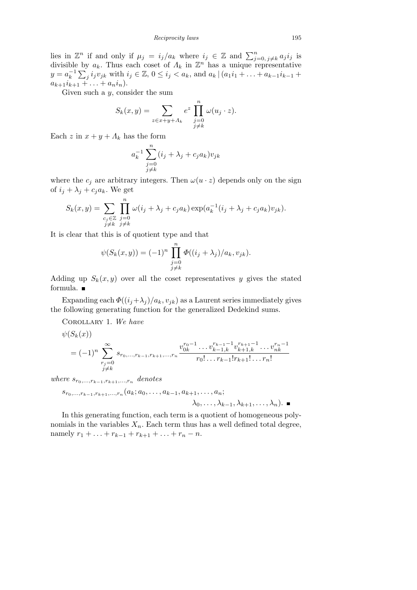*Reciprocity laws* 195

lies in  $\mathbb{Z}^n$  if and only if  $\mu_j = i_j/a_k$  where  $i_j \in \mathbb{Z}$  and  $\sum_{j=0, j \neq k}^n a_j i_j$  is divisible by  $a_k$ . Thus each coset of  $\Lambda_k$  in  $\mathbb{Z}^n$  has a unique representative  $y = a_k^{-1} \sum_j i_j v_{jk}$  with  $i_j \in \mathbb{Z}$ ,  $0 \le i_j < a_k$ , and  $a_k | (a_1 i_1 + \ldots + a_{k-1} i_{k-1} +$  $a_{k+1}i_{k+1} + \ldots + a_{n}i_{n}$ .

Given such a *y*, consider the sum

$$
S_k(x,y) = \sum_{z \in x+y+A_k} e^z \prod_{\substack{j=0 \ j \neq k}}^n \omega(u_j \cdot z).
$$

Each  $z$  in  $x + y + \Lambda_k$  has the form

$$
a_k^{-1} \sum_{\substack{j=0 \ j \neq k}}^n (i_j + \lambda_j + c_j a_k) v_{jk}
$$

where the  $c_j$  are arbitrary integers. Then  $\omega(u \cdot z)$  depends only on the sign of  $i_j + \lambda_j + c_j a_k$ . We get

$$
S_k(x,y) = \sum_{\substack{c_j \in \mathbb{Z} \\ j \neq k}} \prod_{\substack{j=0 \\ j \neq k}}^n \omega(i_j + \lambda_j + c_j a_k) \exp(a_k^{-1}(i_j + \lambda_j + c_j a_k) v_{jk}).
$$

It is clear that this is of quotient type and that

$$
\psi(S_k(x, y)) = (-1)^n \prod_{\substack{j=0 \ j \neq k}}^n \Phi((i_j + \lambda_j)/a_k, v_{jk}).
$$

Adding up  $S_k(x, y)$  over all the coset representatives y gives the stated formula.

Expanding each  $\Phi((i_j + \lambda_j)/a_k, v_{jk})$  as a Laurent series immediately gives the following generating function for the generalized Dedekind sums.

Corollary 1. *We have*

$$
\psi(S_k(x))
$$

$$
=(-1)^n \sum_{\substack{r_j=0 \ j\neq k}}^{\infty} s_{r_0,\dots,r_{k-1},r_{k+1},\dots,r_n} \frac{v_{0k}^{r_0-1}\dots v_{k-1,k}^{r_{k-1}-1} v_{k+1,k}^{r_{k+1}-1}\dots v_{nk}^{r_n-1}}{r_0!\dots r_{k-1}!r_{k+1}!\dots r_n!}
$$

 $where$   $s_{r_0,\ldots,r_{k-1},r_{k+1},\ldots,r_n}$  denotes

$$
s_{r_0,...,r_{k-1},r_{k+1},...,r_n}(a_k; a_0,..., a_{k-1}, a_{k+1},..., a_n;
$$
  
 $\lambda_0,..., \lambda_{k-1}, \lambda_{k+1},..., \lambda_n).$ 

In this generating function, each term is a quotient of homogeneous polynomials in the variables  $X_n$ . Each term thus has a well defined total degree, namely  $r_1 + \ldots + r_{k-1} + r_{k+1} + \ldots + r_n - n$ .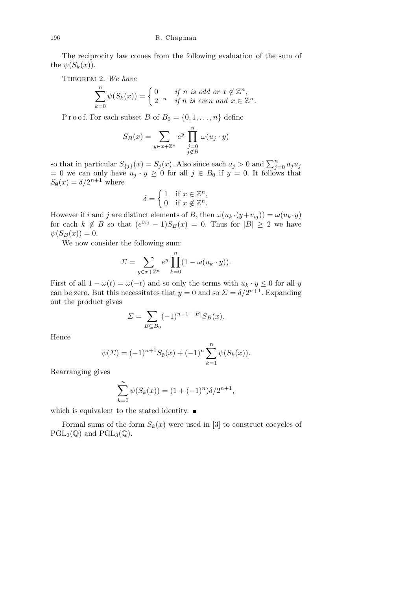The reciprocity law comes from the following evaluation of the sum of the  $\psi(S_k(x))$ .

Theorem 2. *We have*

$$
\sum_{k=0}^{n} \psi(S_k(x)) = \begin{cases} 0 & \text{if } n \text{ is odd or } x \notin \mathbb{Z}^n, \\ 2^{-n} & \text{if } n \text{ is even and } x \in \mathbb{Z}^n. \end{cases}
$$

P r o o f. For each subset *B* of  $B_0 = \{0, 1, \ldots, n\}$  define

$$
S_B(x) = \sum_{y \in x + \mathbb{Z}^n} e^y \prod_{\substack{j=0 \ j \notin B}}^n \omega(u_j \cdot y)
$$

so that in particular  $S_{\{j\}}(x) = S_j(x)$ . Also since each  $a_j > 0$  and  $\sum_{j=0}^n a_j u_j$  $= 0$  we can only have  $u_j \cdot y \ge 0$  for all  $j \in B_0$  if  $y = 0$ . It follows that  $S_{\emptyset}(x) = \delta/2^{n+1}$  where

$$
\delta = \begin{cases} 1 & \text{if } x \in \mathbb{Z}^n, \\ 0 & \text{if } x \notin \mathbb{Z}^n. \end{cases}
$$

However if *i* and *j* are distinct elements of *B*, then  $\omega(u_k \cdot (y + v_{ij})) = \omega(u_k \cdot y)$ for each  $k \notin B$  so that  $(e^{v_{ij}} - 1)S_B(x) = 0$ . Thus for  $|B| \geq 2$  we have  $\psi(S_B(x)) = 0.$ 

We now consider the following sum:

$$
\Sigma = \sum_{y \in x + \mathbb{Z}^n} e^y \prod_{k=0}^n (1 - \omega(u_k \cdot y)).
$$

First of all  $1 - \omega(t) = \omega(-t)$  and so only the terms with  $u_k \cdot y \leq 0$  for all *y* can be zero. But this necessitates that  $y = 0$  and so  $\Sigma = \delta/2^{n+1}$ . Expanding out the product gives

$$
\Sigma = \sum_{B \subseteq B_0} (-1)^{n+1-|B|} S_B(x).
$$

Hence

$$
\psi(\Sigma) = (-1)^{n+1} S_{\emptyset}(x) + (-1)^n \sum_{k=1}^n \psi(S_k(x)).
$$

Rearranging gives

$$
\sum_{k=0}^{n} \psi(S_k(x)) = (1 + (-1)^n) \delta/2^{n+1},
$$

which is equivalent to the stated identity.  $\blacksquare$ 

Formal sums of the form  $S_k(x)$  were used in [3] to construct cocycles of  $PGL_2(\mathbb{Q})$  and  $PGL_3(\mathbb{Q})$ .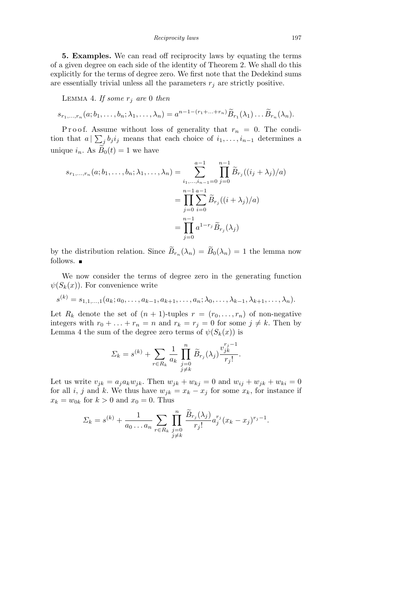*Reciprocity laws* 197

**5. Examples.** We can read off reciprocity laws by equating the terms of a given degree on each side of the identity of Theorem 2. We shall do this explicitly for the terms of degree zero. We first note that the Dedekind sums are essentially trivial unless all the parameters  $r_j$  are strictly positive.

LEMMA 4. If some  $r_j$  are 0 then

 $s_{r_1,\ldots,r_n}(a;b_1,\ldots,b_n;\lambda_1,\ldots,\lambda_n)=a^{n-1-(r_1+\ldots+r_n)}\widetilde{B}_{r_1}(\lambda_1)\ldots\widetilde{B}_{r_n}(\lambda_n).$ 

Proof. Assume without loss of generality that  $r_n = 0$ . The condition that  $a \mid \sum_{j} b_j i_j$  means that each choice of  $i_1, \ldots, i_{n-1}$  determines a unique  $i_n$ . As  $B_0(t) = 1$  we have

$$
s_{r_1,...,r_n}(a; b_1,...,b_n; \lambda_1,..., \lambda_n) = \sum_{\substack{i_1,...,i_{n-1}=0 \ j=0}}^{a-1} \prod_{j=0}^{n-1} \widetilde{B}_{r_j}((i_j + \lambda_j)/a)
$$
  
= 
$$
\prod_{j=0}^{n-1} \sum_{i=0}^{a-1} \widetilde{B}_{r_j}((i + \lambda_j)/a)
$$
  
= 
$$
\prod_{j=0}^{n-1} a^{1-r_j} \widetilde{B}_{r_j}(\lambda_j)
$$

by the distribution relation. Since  $\widetilde{B}_{r_n}(\lambda_n) = \widetilde{B}_0(\lambda_n) = 1$  the lemma now follows.  $\blacksquare$ 

We now consider the terms of degree zero in the generating function  $\psi(S_k(x))$ . For convenience write

$$
s^{(k)} = s_{1,1,\ldots,1}(a_k; a_0,\ldots,a_{k-1},a_{k+1},\ldots,a_n; \lambda_0,\ldots,\lambda_{k-1},\lambda_{k+1},\ldots,\lambda_n).
$$

Let  $R_k$  denote the set of  $(n + 1)$ -tuples  $r = (r_0, \ldots, r_n)$  of non-negative integers with  $r_0 + \ldots + r_n = n$  and  $r_k = r_j = 0$  for some  $j \neq k$ . Then by Lemma 4 the sum of the degree zero terms of  $\psi(S_k(x))$  is

$$
\Sigma_{k} = s^{(k)} + \sum_{r \in R_{k}} \frac{1}{a_{k}} \prod_{\substack{j=0 \ j \neq k}}^{n} \widetilde{B}_{r_{j}}(\lambda_{j}) \frac{v_{jk}^{r_{j}-1}}{r_{j}!}.
$$

Let us write  $v_{jk} = a_j a_k w_{jk}$ . Then  $w_{jk} + w_{kj} = 0$  and  $w_{ij} + w_{jk} + w_{ki} = 0$ for all *i*, *j* and *k*. We thus have  $w_{jk} = x_k - x_j$  for some  $x_k$ , for instance if  $x_k = w_{0k}$  for  $k > 0$  and  $x_0 = 0$ . Thus

$$
\Sigma_k = s^{(k)} + \frac{1}{a_0 \dots a_n} \sum_{r \in R_k} \prod_{\substack{j=0 \\ j \neq k}}^n \frac{\widetilde{B}_{r_j}(\lambda_j)}{r_j!} a_j^{r_j} (x_k - x_j)^{r_j - 1}.
$$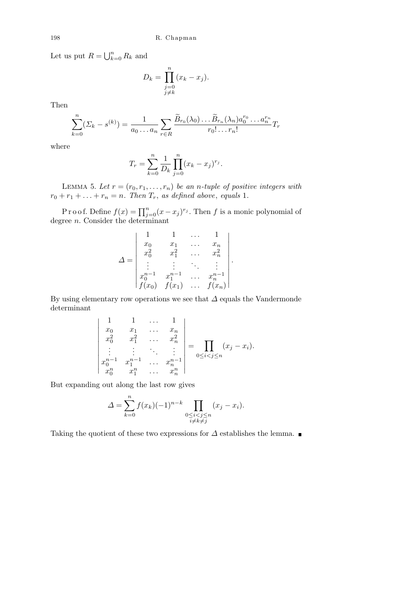Let us put  $R = \bigcup_{k=1}^{n} R_k$  $_{k=0}^{n} R_k$  and

$$
D_k = \prod_{\substack{j=0 \ j\neq k}}^n (x_k - x_j).
$$

Then

$$
\sum_{k=0}^{n} (\Sigma_k - s^{(k)}) = \frac{1}{a_0 \dots a_n} \sum_{r \in R} \frac{\widetilde{B}_{r_0}(\lambda_0) \dots \widetilde{B}_{r_n}(\lambda_n) a_0^{r_0} \dots a_n^{r_n}}{r_0! \dots r_n!} T_r
$$

where

$$
T_r = \sum_{k=0}^{n} \frac{1}{D_k} \prod_{j=0}^{n} (x_k - x_j)^{r_j}.
$$

LEMMA 5. Let  $r = (r_0, r_1, \ldots, r_n)$  be an *n*-tuple of positive integers with  $r_0 + r_1 + \ldots + r_n = n$ *. Then*  $T_r$ *, as defined above, equals* 1*.* 

P r o o f. Define  $f(x) = \prod_{j=0}^{n} (x - x_j)^{r_j}$ . Then *f* is a monic polynomial of degree *n*. Consider the determinant

$$
\Delta = \begin{vmatrix}\n1 & 1 & \dots & 1 \\
x_0 & x_1 & \dots & x_n \\
x_0^2 & x_1^2 & \dots & x_n^2 \\
\vdots & \vdots & \ddots & \vdots \\
x_0^{n-1} & x_1^{n-1} & \dots & x_n^{n-1} \\
f(x_0) & f(x_1) & \dots & f(x_n)\n\end{vmatrix}.
$$

By using elementary row operations we see that *∆* equals the Vandermonde determinant

$$
\begin{vmatrix}\n1 & 1 & \dots & 1 \\
x_0 & x_1 & \dots & x_n \\
x_0^2 & x_1^2 & \dots & x_n^2 \\
\vdots & \vdots & \ddots & \vdots \\
x_0^{n-1} & x_1^{n-1} & \dots & x_n^{n-1} \\
x_0^n & x_1^n & \dots & x_n^n\n\end{vmatrix} = \prod_{0 \le i < j \le n} (x_j - x_i).
$$

But expanding out along the last row gives

$$
\Delta = \sum_{k=0}^{n} f(x_k)(-1)^{n-k} \prod_{\substack{0 \le i < j \le n \\ i \ne k \ne j}} (x_j - x_i).
$$

Taking the quotient of these two expressions for  $\Delta$  establishes the lemma. ■